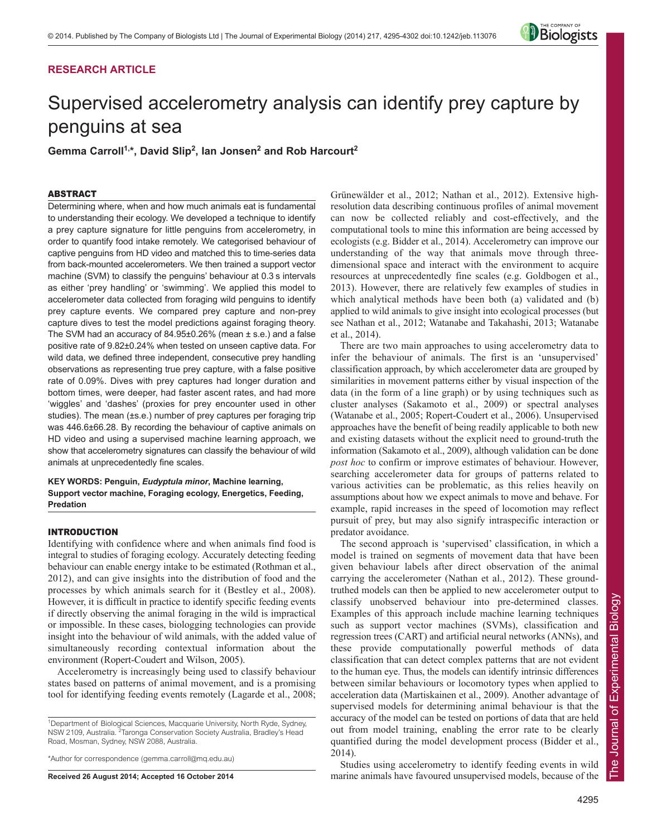## **RESEARCH ARTICLE**



# Supervised accelerometry analysis can identify prey capture by penguins at sea

**Gemma Carroll1,\*, David Slip2 , Ian Jonsen2 and Rob Harcourt2**

## ABSTRACT

Determining where, when and how much animals eat is fundamental to understanding their ecology. We developed a technique to identify a prey capture signature for little penguins from accelerometry, in order to quantify food intake remotely. We categorised behaviour of captive penguins from HD video and matched this to time-series data from back-mounted accelerometers. We then trained a support vector machine (SVM) to classify the penguins' behaviour at 0.3 s intervals as either 'prey handling' or 'swimming'. We applied this model to accelerometer data collected from foraging wild penguins to identify prey capture events. We compared prey capture and non-prey capture dives to test the model predictions against foraging theory. The SVM had an accuracy of 84.95±0.26% (mean ± s.e.) and a false positive rate of 9.82±0.24% when tested on unseen captive data. For wild data, we defined three independent, consecutive prey handling observations as representing true prey capture, with a false positive rate of 0.09%. Dives with prey captures had longer duration and bottom times, were deeper, had faster ascent rates, and had more 'wiggles' and 'dashes' (proxies for prey encounter used in other studies). The mean (±s.e.) number of prey captures per foraging trip was 446.6±66.28. By recording the behaviour of captive animals on HD video and using a supervised machine learning approach, we show that accelerometry signatures can classify the behaviour of wild animals at unprecedentedly fine scales.

**KEY WORDS: Penguin,** *Eudyptula minor***, Machine learning, Support vector machine, Foraging ecology, Energetics, Feeding, Predation**

## INTRODUCTION

Identifying with confidence where and when animals find food is integral to studies of foraging ecology. Accurately detecting feeding behaviour can enable energy intake to be estimated (Rothman et al., 2012), and can give insights into the distribution of food and the processes by which animals search for it (Bestley et al., 2008). However, it is difficult in practice to identify specific feeding events if directly observing the animal foraging in the wild is impractical or impossible. In these cases, biologging technologies can provide insight into the behaviour of wild animals, with the added value of simultaneously recording contextual information about the environment (Ropert-Coudert and Wilson, 2005).

Accelerometry is increasingly being used to classify behaviour states based on patterns of animal movement, and is a promising tool for identifying feeding events remotely (Lagarde et al., 2008;

\*Author for correspondence (gemma.carroll@mq.edu.au)

**Received 26 August 2014; Accepted 16 October 2014**

Grünewälder et al., 2012; Nathan et al., 2012). Extensive highresolution data describing continuous profiles of animal movement can now be collected reliably and cost-effectively, and the computational tools to mine this information are being accessed by ecologists (e.g. Bidder et al., 2014). Accelerometry can improve our understanding of the way that animals move through threedimensional space and interact with the environment to acquire resources at unprecedentedly fine scales (e.g. Goldbogen et al., 2013). However, there are relatively few examples of studies in which analytical methods have been both (a) validated and (b) applied to wild animals to give insight into ecological processes (but see Nathan et al., 2012; Watanabe and Takahashi, 2013; Watanabe et al., 2014).

There are two main approaches to using accelerometry data to infer the behaviour of animals. The first is an 'unsupervised' classification approach, by which accelerometer data are grouped by similarities in movement patterns either by visual inspection of the data (in the form of a line graph) or by using techniques such as cluster analyses (Sakamoto et al., 2009) or spectral analyses (Watanabe et al., 2005; Ropert-Coudert et al., 2006). Unsupervised approaches have the benefit of being readily applicable to both new and existing datasets without the explicit need to ground-truth the information (Sakamoto et al., 2009), although validation can be done *post hoc* to confirm or improve estimates of behaviour. However, searching accelerometer data for groups of patterns related to various activities can be problematic, as this relies heavily on assumptions about how we expect animals to move and behave. For example, rapid increases in the speed of locomotion may reflect pursuit of prey, but may also signify intraspecific interaction or predator avoidance.

The second approach is 'supervised' classification, in which a model is trained on segments of movement data that have been given behaviour labels after direct observation of the animal carrying the accelerometer (Nathan et al., 2012). These groundtruthed models can then be applied to new accelerometer output to classify unobserved behaviour into pre-determined classes. Examples of this approach include machine learning techniques such as support vector machines (SVMs), classification and regression trees (CART) and artificial neural networks (ANNs), and these provide computationally powerful methods of data classification that can detect complex patterns that are not evident to the human eye. Thus, the models can identify intrinsic differences between similar behaviours or locomotory types when applied to acceleration data (Martiskainen et al., 2009). Another advantage of supervised models for determining animal behaviour is that the accuracy of the model can be tested on portions of data that are held out from model training, enabling the error rate to be clearly quantified during the model development process (Bidder et al., 2014).

Studies using accelerometry to identify feeding events in wild marine animals have favoured unsupervised models, because of the

<sup>&</sup>lt;sup>1</sup>Department of Biological Sciences, Macquarie University, North Ryde, Sydney, NSW 2109, Australia. <sup>2</sup>Taronga Conservation Society Australia, Bradley's Head Road, Mosman, Sydney, NSW 2088, Australia.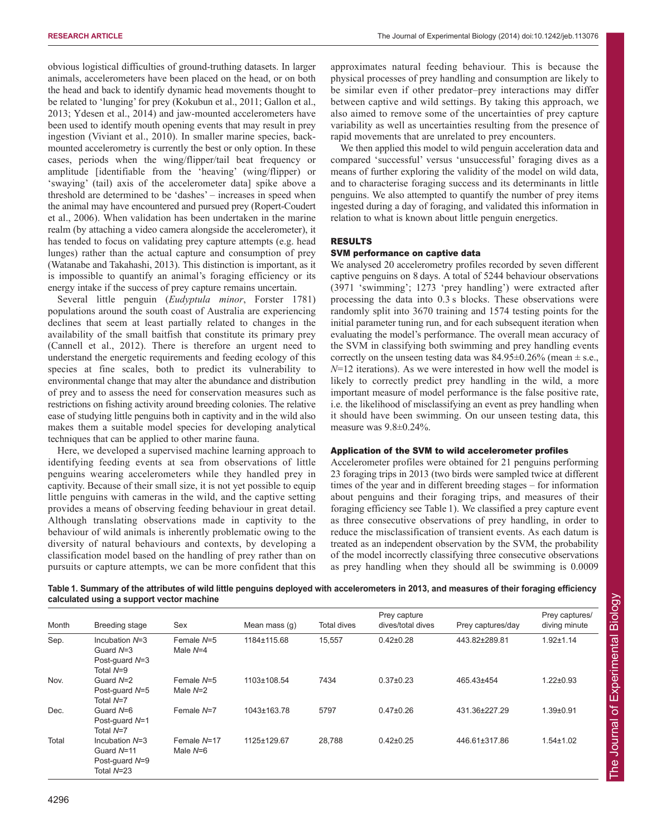obvious logistical difficulties of ground-truthing datasets. In larger animals, accelerometers have been placed on the head, or on both the head and back to identify dynamic head movements thought to be related to 'lunging' for prey (Kokubun et al., 2011; Gallon et al., 2013; Ydesen et al., 2014) and jaw-mounted accelerometers have been used to identify mouth opening events that may result in prey ingestion (Viviant et al., 2010). In smaller marine species, backmounted accelerometry is currently the best or only option. In these cases, periods when the wing/flipper/tail beat frequency or amplitude [identifiable from the 'heaving' (wing/flipper) or 'swaying' (tail) axis of the accelerometer data] spike above a threshold are determined to be 'dashes' – increases in speed when the animal may have encountered and pursued prey (Ropert-Coudert et al., 2006). When validation has been undertaken in the marine realm (by attaching a video camera alongside the accelerometer), it has tended to focus on validating prey capture attempts (e.g. head lunges) rather than the actual capture and consumption of prey (Watanabe and Takahashi, 2013). This distinction is important, as it is impossible to quantify an animal's foraging efficiency or its energy intake if the success of prey capture remains uncertain.

Several little penguin (*Eudyptula minor*, Forster 1781) populations around the south coast of Australia are experiencing declines that seem at least partially related to changes in the availability of the small baitfish that constitute its primary prey (Cannell et al., 2012). There is therefore an urgent need to understand the energetic requirements and feeding ecology of this species at fine scales, both to predict its vulnerability to environmental change that may alter the abundance and distribution of prey and to assess the need for conservation measures such as restrictions on fishing activity around breeding colonies. The relative ease of studying little penguins both in captivity and in the wild also makes them a suitable model species for developing analytical techniques that can be applied to other marine fauna.

Here, we developed a supervised machine learning approach to identifying feeding events at sea from observations of little penguins wearing accelerometers while they handled prey in captivity. Because of their small size, it is not yet possible to equip little penguins with cameras in the wild, and the captive setting provides a means of observing feeding behaviour in great detail. Although translating observations made in captivity to the behaviour of wild animals is inherently problematic owing to the diversity of natural behaviours and contexts, by developing a classification model based on the handling of prey rather than on pursuits or capture attempts, we can be more confident that this approximates natural feeding behaviour. This is because the physical processes of prey handling and consumption are likely to be similar even if other predator–prey interactions may differ between captive and wild settings. By taking this approach, we also aimed to remove some of the uncertainties of prey capture variability as well as uncertainties resulting from the presence of rapid movements that are unrelated to prey encounters.

We then applied this model to wild penguin acceleration data and compared 'successful' versus 'unsuccessful' foraging dives as a means of further exploring the validity of the model on wild data, and to characterise foraging success and its determinants in little penguins. We also attempted to quantify the number of prey items ingested during a day of foraging, and validated this information in relation to what is known about little penguin energetics.

#### RESULTS

#### SVM performance on captive data

We analysed 20 accelerometry profiles recorded by seven different captive penguins on 8 days. A total of 5244 behaviour observations (3971 'swimming'; 1273 'prey handling') were extracted after processing the data into 0.3 s blocks. These observations were randomly split into 3670 training and 1574 testing points for the initial parameter tuning run, and for each subsequent iteration when evaluating the model's performance. The overall mean accuracy of the SVM in classifying both swimming and prey handling events correctly on the unseen testing data was  $84.95\pm0.26\%$  (mean  $\pm$  s.e., *N*=12 iterations). As we were interested in how well the model is likely to correctly predict prey handling in the wild, a more important measure of model performance is the false positive rate, i.e. the likelihood of misclassifying an event as prey handling when it should have been swimming. On our unseen testing data, this measure was 9.8±0.24%.

#### Application of the SVM to wild accelerometer profiles

Accelerometer profiles were obtained for 21 penguins performing 23 foraging trips in 2013 (two birds were sampled twice at different times of the year and in different breeding stages – for information about penguins and their foraging trips, and measures of their foraging efficiency see Table 1). We classified a prey capture event as three consecutive observations of prey handling, in order to reduce the misclassification of transient events. As each datum is treated as an independent observation by the SVM, the probability of the model incorrectly classifying three consecutive observations as prey handling when they should all be swimming is 0.0009

**Table 1. Summary of the attributes of wild little penguins deployed with accelerometers in 2013, and measures of their foraging efficiency calculated using a support vector machine**

| Month | Breeding stage                                                 | Sex                       | Mean mass (q) | Total dives | Prey capture<br>dives/total dives | Prey captures/day | Prey captures/<br>diving minute |
|-------|----------------------------------------------------------------|---------------------------|---------------|-------------|-----------------------------------|-------------------|---------------------------------|
| Sep.  | Incubation $N=3$<br>Guard $N=3$<br>Post-guard N=3<br>Total N=9 | Female N=5<br>Male $N=4$  | 1184±115.68   | 15.557      | $0.42 \pm 0.28$                   | 443.82±289.81     | $1.92 \pm 1.14$                 |
| Nov.  | Guard $N=2$<br>Post-guard N=5<br>Total N=7                     | Female N=5<br>Male $N=2$  | 1103±108.54   | 7434        | $0.37 \pm 0.23$                   | 465.43±454        | $1.22 \pm 0.93$                 |
| Dec.  | Guard N=6<br>Post-guard N=1<br>Total N=7                       | Female N=7                | 1043±163.78   | 5797        | $0.47 \pm 0.26$                   | 431.36±227.29     | $1.39 + 0.91$                   |
| Total | Incubation $N=3$<br>Guard N=11<br>Post-guard N=9<br>Total N=23 | Female N=17<br>Male $N=6$ | 1125±129.67   | 28,788      | $0.42 \pm 0.25$                   | 446.61±317.86     | $1.54 \pm 1.02$                 |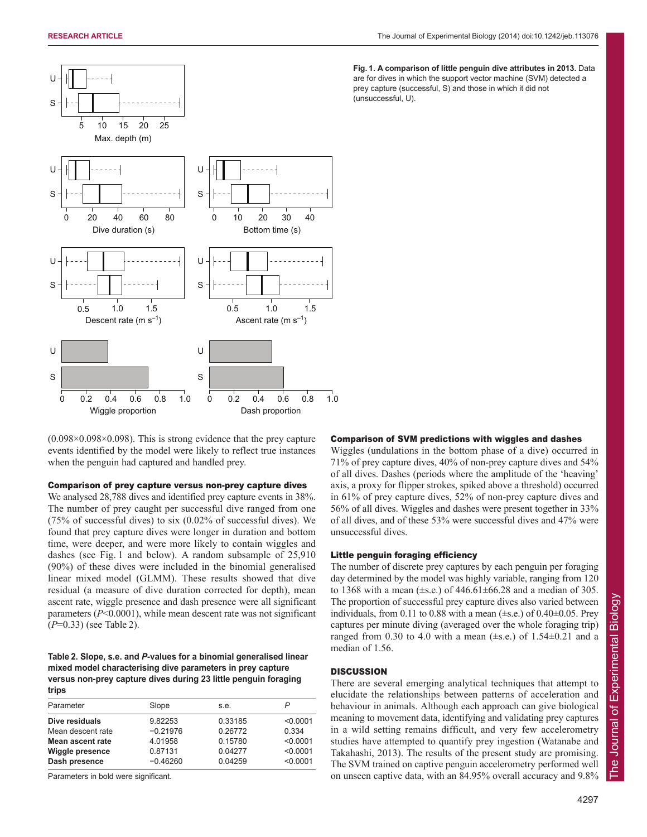

(0.098×0.098×0.098). This is strong evidence that the prey capture events identified by the model were likely to reflect true instances when the penguin had captured and handled prey.

## Comparison of prey capture versus non-prey capture dives

We analysed 28,788 dives and identified prey capture events in 38%. The number of prey caught per successful dive ranged from one  $(75\% \text{ of successful gives})$  to six  $(0.02\% \text{ of successful gives})$ . We found that prey capture dives were longer in duration and bottom time, were deeper, and were more likely to contain wiggles and dashes (see Fig. 1 and below). A random subsample of 25,910 (90%) of these dives were included in the binomial generalised linear mixed model (GLMM). These results showed that dive residual (a measure of dive duration corrected for depth), mean ascent rate, wiggle presence and dash presence were all significant parameters (*P*<0.0001), while mean descent rate was not significant (*P*=0.33) (see Table 2).

## **Table 2. Slope, s.e. and** *P***-values for a binomial generalised linear mixed model characterising dive parameters in prey capture versus non-prey capture dives during 23 little penguin foraging trips**

| Slope      | s.e.    |          |
|------------|---------|----------|
| 9.82253    | 0.33185 | < 0.0001 |
| $-0.21976$ | 0.26772 | 0.334    |
| 4.01958    | 0.15780 | < 0.0001 |
| 0.87131    | 0.04277 | < 0.0001 |
| $-0.46260$ | 0.04259 | < 0.0001 |
|            |         |          |

Parameters in bold were significant.

**Fig. 1. A comparison of little penguin dive attributes in 2013.** Data are for dives in which the support vector machine (SVM) detected a prey capture (successful, S) and those in which it did not (unsuccessful, U).

### Comparison of SVM predictions with wiggles and dashes

Wiggles (undulations in the bottom phase of a dive) occurred in 71% of prey capture dives, 40% of non-prey capture dives and 54% of all dives. Dashes (periods where the amplitude of the 'heaving' axis, a proxy for flipper strokes, spiked above a threshold) occurred in 61% of prey capture dives, 52% of non-prey capture dives and 56% of all dives. Wiggles and dashes were present together in 33% of all dives, and of these 53% were successful dives and 47% were unsuccessful dives.

## Little penguin foraging efficiency

The number of discrete prey captures by each penguin per foraging day determined by the model was highly variable, ranging from 120 to 1368 with a mean  $(\pm s.e.)$  of 446.61 $\pm$ 66.28 and a median of 305. The proportion of successful prey capture dives also varied between individuals, from 0.11 to 0.88 with a mean  $(\pm s.e.)$  of 0.40 $\pm$ 0.05. Prey captures per minute diving (averaged over the whole foraging trip) ranged from 0.30 to 4.0 with a mean  $(\pm s.e.)$  of 1.54 $\pm$ 0.21 and a median of 1.56

## **DISCUSSION**

There are several emerging analytical techniques that attempt to elucidate the relationships between patterns of acceleration and behaviour in animals. Although each approach can give biological meaning to movement data, identifying and validating prey captures in a wild setting remains difficult, and very few accelerometry studies have attempted to quantify prey ingestion (Watanabe and Takahashi, 2013). The results of the present study are promising. The SVM trained on captive penguin accelerometry performed well on unseen captive data, with an 84.95% overall accuracy and 9.8%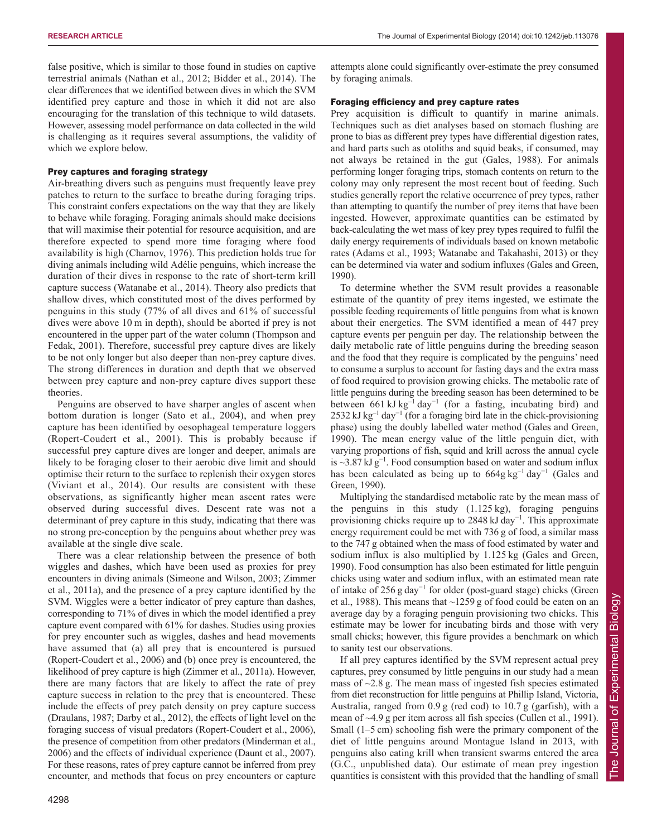false positive, which is similar to those found in studies on captive terrestrial animals (Nathan et al., 2012; Bidder et al., 2014). The clear differences that we identified between dives in which the SVM identified prey capture and those in which it did not are also encouraging for the translation of this technique to wild datasets. However, assessing model performance on data collected in the wild is challenging as it requires several assumptions, the validity of which we explore below.

#### Prey captures and foraging strategy

Air-breathing divers such as penguins must frequently leave prey patches to return to the surface to breathe during foraging trips. This constraint confers expectations on the way that they are likely to behave while foraging. Foraging animals should make decisions that will maximise their potential for resource acquisition, and are therefore expected to spend more time foraging where food availability is high (Charnov, 1976). This prediction holds true for diving animals including wild Adélie penguins, which increase the duration of their dives in response to the rate of short-term krill capture success (Watanabe et al., 2014). Theory also predicts that shallow dives, which constituted most of the dives performed by penguins in this study (77% of all dives and 61% of successful dives were above 10 m in depth), should be aborted if prey is not encountered in the upper part of the water column (Thompson and Fedak, 2001). Therefore, successful prey capture dives are likely to be not only longer but also deeper than non-prey capture dives. The strong differences in duration and depth that we observed between prey capture and non-prey capture dives support these theories.

Penguins are observed to have sharper angles of ascent when bottom duration is longer (Sato et al., 2004), and when prey capture has been identified by oesophageal temperature loggers (Ropert-Coudert et al., 2001). This is probably because if successful prey capture dives are longer and deeper, animals are likely to be foraging closer to their aerobic dive limit and should optimise their return to the surface to replenish their oxygen stores (Viviant et al., 2014). Our results are consistent with these observations, as significantly higher mean ascent rates were observed during successful dives. Descent rate was not a determinant of prey capture in this study, indicating that there was no strong pre-conception by the penguins about whether prey was available at the single dive scale.

There was a clear relationship between the presence of both wiggles and dashes, which have been used as proxies for prey encounters in diving animals (Simeone and Wilson, 2003; Zimmer et al., 2011a), and the presence of a prey capture identified by the SVM. Wiggles were a better indicator of prey capture than dashes, corresponding to 71% of dives in which the model identified a prey capture event compared with 61% for dashes. Studies using proxies for prey encounter such as wiggles, dashes and head movements have assumed that (a) all prey that is encountered is pursued (Ropert-Coudert et al., 2006) and (b) once prey is encountered, the likelihood of prey capture is high (Zimmer et al., 2011a). However, there are many factors that are likely to affect the rate of prey capture success in relation to the prey that is encountered. These include the effects of prey patch density on prey capture success (Draulans, 1987; Darby et al., 2012), the effects of light level on the foraging success of visual predators (Ropert-Coudert et al., 2006), the presence of competition from other predators (Minderman et al., 2006) and the effects of individual experience (Daunt et al., 2007). For these reasons, rates of prey capture cannot be inferred from prey encounter, and methods that focus on prey encounters or capture attempts alone could significantly over-estimate the prey consumed by foraging animals.

### Foraging efficiency and prey capture rates

Prey acquisition is difficult to quantify in marine animals. Techniques such as diet analyses based on stomach flushing are prone to bias as different prey types have differential digestion rates, and hard parts such as otoliths and squid beaks, if consumed, may not always be retained in the gut (Gales, 1988). For animals performing longer foraging trips, stomach contents on return to the colony may only represent the most recent bout of feeding. Such studies generally report the relative occurrence of prey types, rather than attempting to quantify the number of prey items that have been ingested. However, approximate quantities can be estimated by back-calculating the wet mass of key prey types required to fulfil the daily energy requirements of individuals based on known metabolic rates (Adams et al., 1993; Watanabe and Takahashi, 2013) or they can be determined via water and sodium influxes (Gales and Green, 1990).

To determine whether the SVM result provides a reasonable estimate of the quantity of prey items ingested, we estimate the possible feeding requirements of little penguins from what is known about their energetics. The SVM identified a mean of 447 prey capture events per penguin per day. The relationship between the daily metabolic rate of little penguins during the breeding season and the food that they require is complicated by the penguins' need to consume a surplus to account for fasting days and the extra mass of food required to provision growing chicks. The metabolic rate of little penguins during the breeding season has been determined to be between 661 kJ kg<sup>-1</sup> day<sup>-1</sup> (for a fasting, incubating bird) and 2532 kJ kg<sup>-1</sup> day<sup>-1</sup> (for a foraging bird late in the chick-provisioning phase) using the doubly labelled water method (Gales and Green, 1990). The mean energy value of the little penguin diet, with varying proportions of fish, squid and krill across the annual cycle is ~3.87 kJ  $g^{-1}$ . Food consumption based on water and sodium influx has been calculated as being up to  $664g kg^{-1} day^{-1}$  (Gales and Green, 1990).

Multiplying the standardised metabolic rate by the mean mass of the penguins in this study (1.125 kg), foraging penguins provisioning chicks require up to 2848 kJ day<sup>-1</sup>. This approximate energy requirement could be met with 736 g of food, a similar mass to the 747 g obtained when the mass of food estimated by water and sodium influx is also multiplied by 1.125 kg (Gales and Green, 1990). Food consumption has also been estimated for little penguin chicks using water and sodium influx, with an estimated mean rate of intake of 256 g day<sup>−</sup><sup>1</sup> for older (post-guard stage) chicks (Green et al., 1988). This means that  $\sim$ 1259 g of food could be eaten on an average day by a foraging penguin provisioning two chicks. This estimate may be lower for incubating birds and those with very small chicks; however, this figure provides a benchmark on which to sanity test our observations.

If all prey captures identified by the SVM represent actual prey captures, prey consumed by little penguins in our study had a mean mass of  $\sim$ 2.8 g. The mean mass of ingested fish species estimated from diet reconstruction for little penguins at Phillip Island, Victoria, Australia, ranged from 0.9 g (red cod) to 10.7 g (garfish), with a mean of ~4.9 g per item across all fish species (Cullen et al., 1991). Small (1–5 cm) schooling fish were the primary component of the diet of little penguins around Montague Island in 2013, with penguins also eating krill when transient swarms entered the area (G.C., unpublished data). Our estimate of mean prey ingestion quantities is consistent with this provided that the handling of small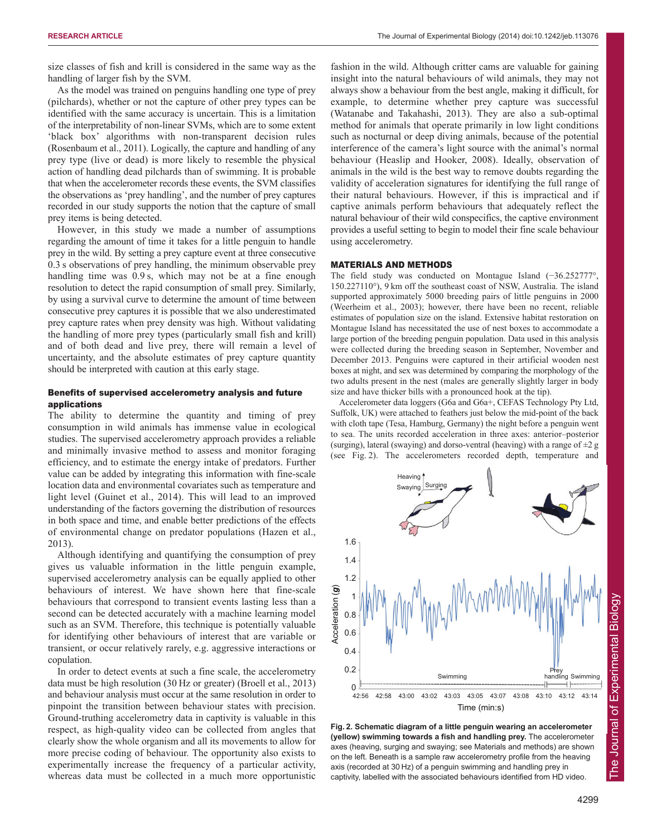size classes of fish and krill is considered in the same way as the handling of larger fish by the SVM.

As the model was trained on penguins handling one type of prey (pilchards), whether or not the capture of other prey types can be identified with the same accuracy is uncertain. This is a limitation of the interpretability of non-linear SVMs, which are to some extent 'black box' algorithms with non-transparent decision rules (Rosenbaum et al., 2011). Logically, the capture and handling of any prey type (live or dead) is more likely to resemble the physical action of handling dead pilchards than of swimming. It is probable that when the accelerometer records these events, the SVM classifies the observations as 'prey handling', and the number of prey captures recorded in our study supports the notion that the capture of small prey items is being detected.

However, in this study we made a number of assumptions regarding the amount of time it takes for a little penguin to handle prey in the wild. By setting a prey capture event at three consecutive 0.3 s observations of prey handling, the minimum observable prey handling time was  $0.9$  s, which may not be at a fine enough resolution to detect the rapid consumption of small prey. Similarly, by using a survival curve to determine the amount of time between consecutive prey captures it is possible that we also underestimated prey capture rates when prey density was high. Without validating the handling of more prey types (particularly small fish and krill) and of both dead and live prey, there will remain a level of uncertainty, and the absolute estimates of prey capture quantity should be interpreted with caution at this early stage.

#### Benefits of supervised accelerometry analysis and future applications

The ability to determine the quantity and timing of prey consumption in wild animals has immense value in ecological studies. The supervised accelerometry approach provides a reliable and minimally invasive method to assess and monitor foraging efficiency, and to estimate the energy intake of predators. Further value can be added by integrating this information with fine-scale location data and environmental covariates such as temperature and light level (Guinet et al., 2014). This will lead to an improved understanding of the factors governing the distribution of resources in both space and time, and enable better predictions of the effects of environmental change on predator populations (Hazen et al., 2013).

Although identifying and quantifying the consumption of prey gives us valuable information in the little penguin example, supervised accelerometry analysis can be equally applied to other behaviours of interest. We have shown here that fine-scale behaviours that correspond to transient events lasting less than a second can be detected accurately with a machine learning model such as an SVM. Therefore, this technique is potentially valuable for identifying other behaviours of interest that are variable or transient, or occur relatively rarely, e.g. aggressive interactions or copulation.

In order to detect events at such a fine scale, the accelerometry data must be high resolution (30 Hz or greater) (Broell et al., 2013) and behaviour analysis must occur at the same resolution in order to pinpoint the transition between behaviour states with precision. Ground-truthing accelerometry data in captivity is valuable in this respect, as high-quality video can be collected from angles that clearly show the whole organism and all its movements to allow for more precise coding of behaviour. The opportunity also exists to experimentally increase the frequency of a particular activity, whereas data must be collected in a much more opportunistic fashion in the wild. Although critter cams are valuable for gaining insight into the natural behaviours of wild animals, they may not always show a behaviour from the best angle, making it difficult, for example, to determine whether prey capture was successful (Watanabe and Takahashi, 2013). They are also a sub-optimal method for animals that operate primarily in low light conditions such as nocturnal or deep diving animals, because of the potential interference of the camera's light source with the animal's normal behaviour (Heaslip and Hooker, 2008). Ideally, observation of animals in the wild is the best way to remove doubts regarding the validity of acceleration signatures for identifying the full range of their natural behaviours. However, if this is impractical and if captive animals perform behaviours that adequately reflect the natural behaviour of their wild conspecifics, the captive environment provides a useful setting to begin to model their fine scale behaviour using accelerometry.

#### MATERIALS AND METHODS

The field study was conducted on Montague Island (−36.252777°, 150.227110°), 9 km off the southeast coast of NSW, Australia. The island supported approximately 5000 breeding pairs of little penguins in 2000 (Weerheim et al., 2003); however, there have been no recent, reliable estimates of population size on the island. Extensive habitat restoration on Montague Island has necessitated the use of nest boxes to accommodate a large portion of the breeding penguin population. Data used in this analysis were collected during the breeding season in September, November and December 2013. Penguins were captured in their artificial wooden nest boxes at night, and sex was determined by comparing the morphology of the two adults present in the nest (males are generally slightly larger in body size and have thicker bills with a pronounced hook at the tip).

Accelerometer data loggers (G6a and G6a+, CEFAS Technology Pty Ltd, Suffolk, UK) were attached to feathers just below the mid-point of the back with cloth tape (Tesa, Hamburg, Germany) the night before a penguin went to sea. The units recorded acceleration in three axes: anterior–posterior (surging), lateral (swaying) and dorso-ventral (heaving) with a range of  $\pm 2$  g (see Fig. 2). The accelerometers recorded depth, temperature and



**Fig. 2. Schematic diagram of a little penguin wearing an accelerometer (yellow) swimming towards a fish and handling prey.** The accelerometer axes (heaving, surging and swaying; see Materials and methods) are shown on the left. Beneath is a sample raw accelerometry profile from the heaving axis (recorded at 30 Hz) of a penguin swimming and handling prey in captivity, labelled with the associated behaviours identified from HD video.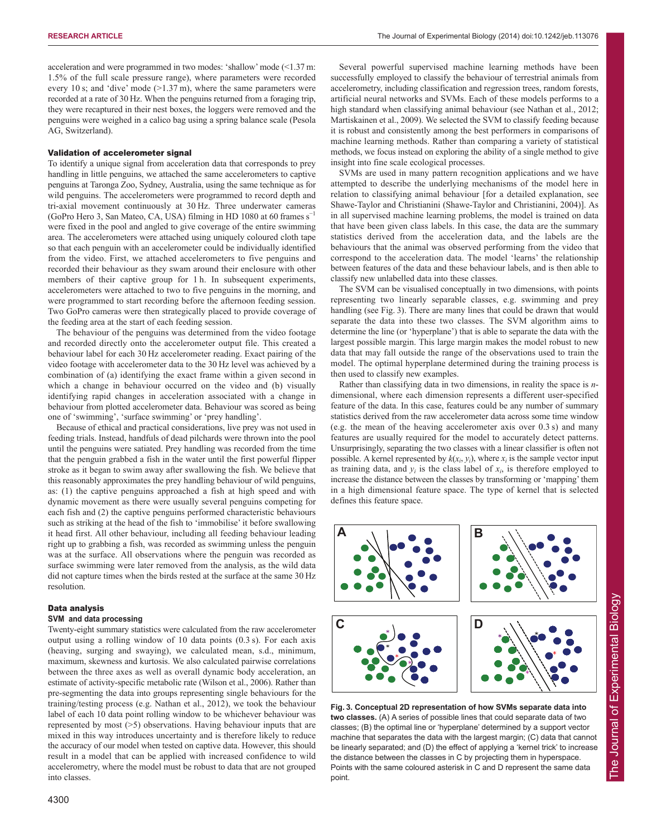acceleration and were programmed in two modes: 'shallow' mode (<1.37 m: 1.5% of the full scale pressure range), where parameters were recorded every 10 s; and 'dive' mode  $(>1.37 \text{ m})$ , where the same parameters were recorded at a rate of 30 Hz. When the penguins returned from a foraging trip, they were recaptured in their nest boxes, the loggers were removed and the penguins were weighed in a calico bag using a spring balance scale (Pesola AG, Switzerland).

#### Validation of accelerometer signal

To identify a unique signal from acceleration data that corresponds to prey handling in little penguins, we attached the same accelerometers to captive penguins at Taronga Zoo, Sydney, Australia, using the same technique as for wild penguins. The accelerometers were programmed to record depth and tri-axial movement continuously at 30 Hz. Three underwater cameras (GoPro Hero 3, San Mateo, CA, USA) filming in HD 1080 at 60 frames s<sup>-1</sup> were fixed in the pool and angled to give coverage of the entire swimming area. The accelerometers were attached using uniquely coloured cloth tape so that each penguin with an accelerometer could be individually identified from the video. First, we attached accelerometers to five penguins and recorded their behaviour as they swam around their enclosure with other members of their captive group for 1 h. In subsequent experiments, accelerometers were attached to two to five penguins in the morning, and were programmed to start recording before the afternoon feeding session. Two GoPro cameras were then strategically placed to provide coverage of the feeding area at the start of each feeding session.

The behaviour of the penguins was determined from the video footage and recorded directly onto the accelerometer output file. This created a behaviour label for each 30 Hz accelerometer reading. Exact pairing of the video footage with accelerometer data to the 30 Hz level was achieved by a combination of (a) identifying the exact frame within a given second in which a change in behaviour occurred on the video and (b) visually identifying rapid changes in acceleration associated with a change in behaviour from plotted accelerometer data. Behaviour was scored as being one of 'swimming', 'surface swimming' or 'prey handling'.

Because of ethical and practical considerations, live prey was not used in feeding trials. Instead, handfuls of dead pilchards were thrown into the pool until the penguins were satiated. Prey handling was recorded from the time that the penguin grabbed a fish in the water until the first powerful flipper stroke as it began to swim away after swallowing the fish. We believe that this reasonably approximates the prey handling behaviour of wild penguins, as: (1) the captive penguins approached a fish at high speed and with dynamic movement as there were usually several penguins competing for each fish and (2) the captive penguins performed characteristic behaviours such as striking at the head of the fish to 'immobilise' it before swallowing it head first. All other behaviour, including all feeding behaviour leading right up to grabbing a fish, was recorded as swimming unless the penguin was at the surface. All observations where the penguin was recorded as surface swimming were later removed from the analysis, as the wild data did not capture times when the birds rested at the surface at the same 30 Hz resolution.

### Data analysis

#### **SVM and data processing**

Twenty-eight summary statistics were calculated from the raw accelerometer output using a rolling window of 10 data points (0.3 s). For each axis (heaving, surging and swaying), we calculated mean, s.d., minimum, maximum, skewness and kurtosis. We also calculated pairwise correlations between the three axes as well as overall dynamic body acceleration, an estimate of activity-specific metabolic rate (Wilson et al., 2006). Rather than pre-segmenting the data into groups representing single behaviours for the training/testing process (e.g. Nathan et al., 2012), we took the behaviour label of each 10 data point rolling window to be whichever behaviour was represented by most (>5) observations. Having behaviour inputs that are mixed in this way introduces uncertainty and is therefore likely to reduce the accuracy of our model when tested on captive data. However, this should result in a model that can be applied with increased confidence to wild accelerometry, where the model must be robust to data that are not grouped into classes.

Several powerful supervised machine learning methods have been successfully employed to classify the behaviour of terrestrial animals from accelerometry, including classification and regression trees, random forests, artificial neural networks and SVMs. Each of these models performs to a high standard when classifying animal behaviour (see Nathan et al., 2012; Martiskainen et al., 2009). We selected the SVM to classify feeding because it is robust and consistently among the best performers in comparisons of machine learning methods. Rather than comparing a variety of statistical methods, we focus instead on exploring the ability of a single method to give insight into fine scale ecological processes.

SVMs are used in many pattern recognition applications and we have attempted to describe the underlying mechanisms of the model here in relation to classifying animal behaviour [for a detailed explanation, see Shawe-Taylor and Christianini (Shawe-Taylor and Christianini, 2004)]. As in all supervised machine learning problems, the model is trained on data that have been given class labels. In this case, the data are the summary statistics derived from the acceleration data, and the labels are the behaviours that the animal was observed performing from the video that correspond to the acceleration data. The model 'learns' the relationship between features of the data and these behaviour labels, and is then able to classify new unlabelled data into these classes.

The SVM can be visualised conceptually in two dimensions, with points representing two linearly separable classes, e.g. swimming and prey handling (see Fig. 3). There are many lines that could be drawn that would separate the data into these two classes. The SVM algorithm aims to determine the line (or 'hyperplane') that is able to separate the data with the largest possible margin. This large margin makes the model robust to new data that may fall outside the range of the observations used to train the model. The optimal hyperplane determined during the training process is then used to classify new examples.

Rather than classifying data in two dimensions, in reality the space is *n*dimensional, where each dimension represents a different user-specified feature of the data. In this case, features could be any number of summary statistics derived from the raw accelerometer data across some time window (e.g. the mean of the heaving accelerometer axis over 0.3 s) and many features are usually required for the model to accurately detect patterns. Unsurprisingly, separating the two classes with a linear classifier is often not possible. A kernel represented by  $k(x_i, y_i)$ , where  $x_i$  is the sample vector input as training data, and  $y_i$  is the class label of  $x_i$ , is therefore employed to increase the distance between the classes by transforming or 'mapping' them in a high dimensional feature space. The type of kernel that is selected defines this feature space.



**Fig. 3. Conceptual 2D representation of how SVMs separate data into two classes.** (A) A series of possible lines that could separate data of two classes; (B) the optimal line or 'hyperplane' determined by a support vector machine that separates the data with the largest margin; (C) data that cannot be linearly separated; and (D) the effect of applying a 'kernel trick' to increase the distance between the classes in C by projecting them in hyperspace. Points with the same coloured asterisk in C and D represent the same data point.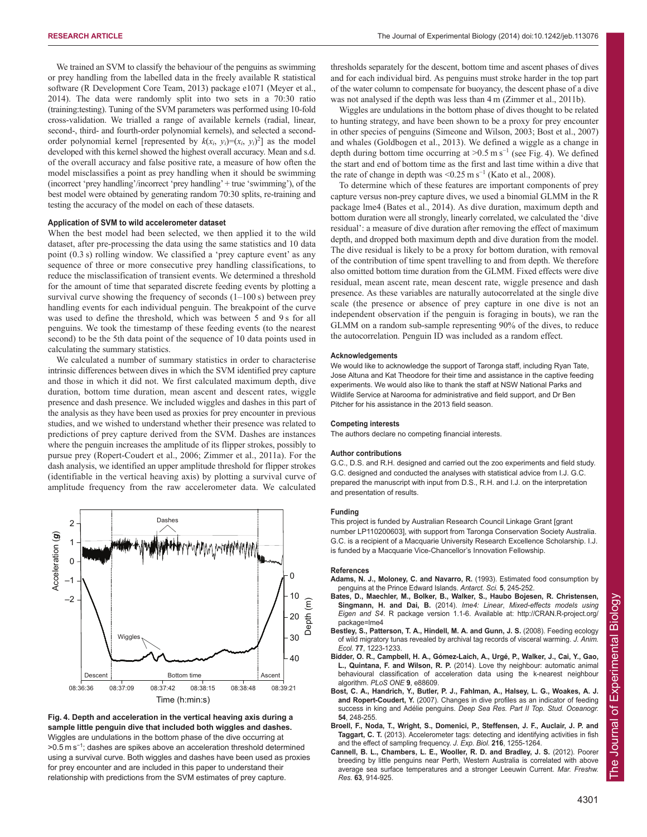We trained an SVM to classify the behaviour of the penguins as swimming or prey handling from the labelled data in the freely available R statistical software (R Development Core Team, 2013) package e1071 (Meyer et al., 2014). The data were randomly split into two sets in a 70:30 ratio (training:testing). Tuning of the SVM parameters was performed using 10-fold cross-validation. We trialled a range of available kernels (radial, linear, second-, third- and fourth-order polynomial kernels), and selected a secondorder polynomial kernel [represented by  $k(x_i, y_i)=(x_i, y_i)^2$ ] as the model developed with this kernel showed the highest overall accuracy. Mean and s.d. of the overall accuracy and false positive rate, a measure of how often the model misclassifies a point as prey handling when it should be swimming (incorrect 'prey handling'/incorrect 'prey handling' + true 'swimming'), of the best model were obtained by generating random 70:30 splits, re-training and testing the accuracy of the model on each of these datasets.

#### **Application of SVM to wild accelerometer dataset**

When the best model had been selected, we then applied it to the wild dataset, after pre-processing the data using the same statistics and 10 data point (0.3 s) rolling window. We classified a 'prey capture event' as any sequence of three or more consecutive prey handling classifications, to reduce the misclassification of transient events. We determined a threshold for the amount of time that separated discrete feeding events by plotting a survival curve showing the frequency of seconds (1–100 s) between prey handling events for each individual penguin. The breakpoint of the curve was used to define the threshold, which was between 5 and 9 s for all penguins. We took the timestamp of these feeding events (to the nearest second) to be the 5th data point of the sequence of 10 data points used in calculating the summary statistics.

We calculated a number of summary statistics in order to characterise intrinsic differences between dives in which the SVM identified prey capture and those in which it did not. We first calculated maximum depth, dive duration, bottom time duration, mean ascent and descent rates, wiggle presence and dash presence. We included wiggles and dashes in this part of the analysis as they have been used as proxies for prey encounter in previous studies, and we wished to understand whether their presence was related to predictions of prey capture derived from the SVM. Dashes are instances where the penguin increases the amplitude of its flipper strokes, possibly to pursue prey (Ropert-Coudert et al., 2006; Zimmer et al., 2011a). For the dash analysis, we identified an upper amplitude threshold for flipper strokes (identifiable in the vertical heaving axis) by plotting a survival curve of amplitude frequency from the raw accelerometer data. We calculated



**Fig. 4. Depth and acceleration in the vertical heaving axis during a sample little penguin dive that included both wiggles and dashes.** Wiggles are undulations in the bottom phase of the dive occurring at >0.5 m s<sup>-1</sup>; dashes are spikes above an acceleration threshold determined using a survival curve. Both wiggles and dashes have been used as proxies for prey encounter and are included in this paper to understand their relationship with predictions from the SVM estimates of prey capture.

thresholds separately for the descent, bottom time and ascent phases of dives and for each individual bird. As penguins must stroke harder in the top part of the water column to compensate for buoyancy, the descent phase of a dive was not analysed if the depth was less than 4 m (Zimmer et al., 2011b).

Wiggles are undulations in the bottom phase of dives thought to be related to hunting strategy, and have been shown to be a proxy for prey encounter in other species of penguins (Simeone and Wilson, 2003; Bost et al., 2007) and whales (Goldbogen et al., 2013). We defined a wiggle as a change in depth during bottom time occurring at  $>0.5$  m s<sup>-1</sup> (see Fig. 4). We defined the start and end of bottom time as the first and last time within a dive that the rate of change in depth was <0.25 m s<sup>-1</sup> (Kato et al., 2008).

To determine which of these features are important components of prey capture versus non-prey capture dives, we used a binomial GLMM in the R package lme4 (Bates et al., 2014). As dive duration, maximum depth and bottom duration were all strongly, linearly correlated, we calculated the 'dive residual': a measure of dive duration after removing the effect of maximum depth, and dropped both maximum depth and dive duration from the model. The dive residual is likely to be a proxy for bottom duration, with removal of the contribution of time spent travelling to and from depth. We therefore also omitted bottom time duration from the GLMM. Fixed effects were dive residual, mean ascent rate, mean descent rate, wiggle presence and dash presence. As these variables are naturally autocorrelated at the single dive scale (the presence or absence of prey capture in one dive is not an independent observation if the penguin is foraging in bouts), we ran the GLMM on a random sub-sample representing 90% of the dives, to reduce the autocorrelation. Penguin ID was included as a random effect.

#### **Acknowledgements**

We would like to acknowledge the support of Taronga staff, including Ryan Tate, Jose Altuna and Kat Theodore for their time and assistance in the captive feeding experiments. We would also like to thank the staff at NSW National Parks and Wildlife Service at Narooma for administrative and field support, and Dr Ben Pitcher for his assistance in the 2013 field season.

#### **Competing interests**

The authors declare no competing financial interests.

#### **Author contributions**

G.C., D.S. and R.H. designed and carried out the zoo experiments and field study. G.C. designed and conducted the analyses with statistical advice from I.J. G.C. prepared the manuscript with input from D.S., R.H. and I.J. on the interpretation and presentation of results.

#### **Funding**

This project is funded by Australian Research Council Linkage Grant [grant number LP110200603], with support from Taronga Conservation Society Australia. G.C. is a recipient of a Macquarie University Research Excellence Scholarship. I.J. is funded by a Macquarie Vice-Chancellor's Innovation Fellowship.

#### **References**

- **Adams, N. J., Moloney, C. and Navarro, R.** (1993). Estimated food consumption by penguins at the Prince Edward Islands. *Antarct. Sci.* **5**, 245-252.
- **Bates, D., Maechler, M., Bolker, B., Walker, S., Haubo Bojesen, R. Christensen, Singmann, H. and Dai, B.** (2014). *lme4: Linear*, *Mixed-effects models using Eigen and S4*. R package version 1.1-6. Available at: http://CRAN.R-project.org/ package=lme4
- **Bestley, S., Patterson, T. A., Hindell, M. A. and Gunn, J. S.** (2008). Feeding ecology of wild migratory tunas revealed by archival tag records of visceral warming. *J. Anim. Ecol.* **77**, 1223-1233.
- **Bidder, O. R., Campbell, H. A., Gómez-Laich, A., Urgé, P., Walker, J., Cai, Y., Gao, L., Quintana, F. and Wilson, R. P.** (2014). Love thy neighbour: automatic animal behavioural classification of acceleration data using the k-nearest neighbour algorithm. *PLoS ONE* **9**, e88609.
- **Bost, C. A., Handrich, Y., Butler, P. J., Fahlman, A., Halsey, L. G., Woakes, A. J. and Ropert-Coudert, Y.** (2007). Changes in dive profiles as an indicator of feeding success in king and Adélie penguins. *Deep Sea Res. Part II Top. Stud. Oceanogr.* **54**, 248-255.
- **Broell, F., Noda, T., Wright, S., Domenici, P., Steffensen, J. F., Auclair, J. P. and Taggart, C. T.** (2013). Accelerometer tags: detecting and identifying activities in fish and the effect of sampling frequency. *J. Exp. Biol.* **216**, 1255-1264.
- **Cannell, B. L., Chambers, L. E., Wooller, R. D. and Bradley, J. S.** (2012). Poorer breeding by little penguins near Perth, Western Australia is correlated with above average sea surface temperatures and a stronger Leeuwin Current. *Mar. Freshw. Res.* **63**, 914-925.